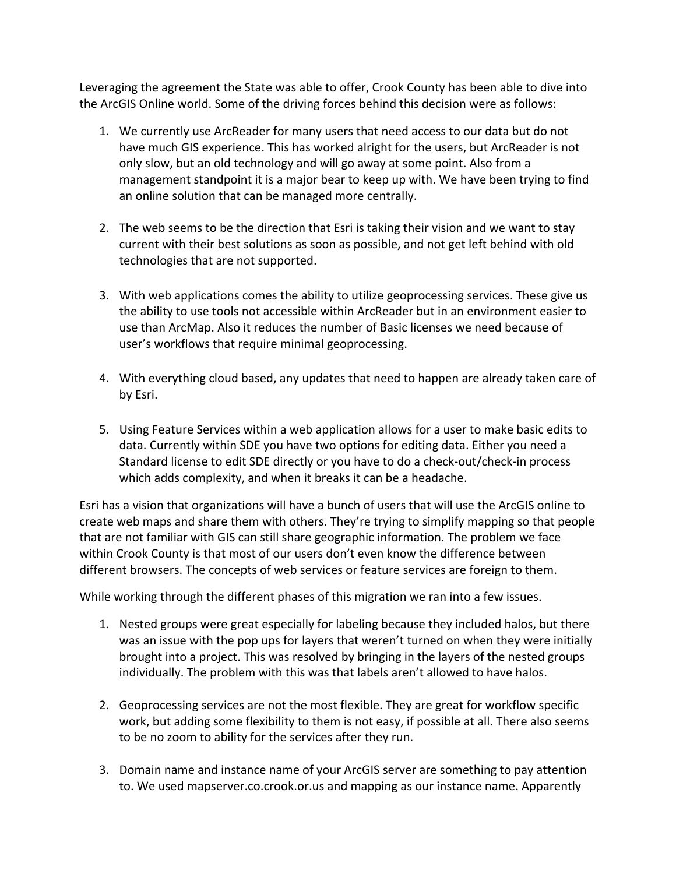Leveraging the agreement the State was able to offer, Crook County has been able to dive into the ArcGIS Online world. Some of the driving forces behind this decision were as follows:

- 1. We currently use ArcReader for many users that need access to our data but do not have much GIS experience. This has worked alright for the users, but ArcReader is not only slow, but an old technology and will go away at some point. Also from a management standpoint it is a major bear to keep up with. We have been trying to find an online solution that can be managed more centrally.
- 2. The web seems to be the direction that Esri is taking their vision and we want to stay current with their best solutions as soon as possible, and not get left behind with old technologies that are not supported.
- 3. With web applications comes the ability to utilize geoprocessing services. These give us the ability to use tools not accessible within ArcReader but in an environment easier to use than ArcMap. Also it reduces the number of Basic licenses we need because of user's workflows that require minimal geoprocessing.
- 4. With everything cloud based, any updates that need to happen are already taken care of by Esri.
- 5. Using Feature Services within a web application allows for a user to make basic edits to data. Currently within SDE you have two options for editing data. Either you need a Standard license to edit SDE directly or you have to do a check-out/check-in process which adds complexity, and when it breaks it can be a headache.

Esri has a vision that organizations will have a bunch of users that will use the ArcGIS online to create web maps and share them with others. They're trying to simplify mapping so that people that are not familiar with GIS can still share geographic information. The problem we face within Crook County is that most of our users don't even know the difference between different browsers. The concepts of web services or feature services are foreign to them.

While working through the different phases of this migration we ran into a few issues.

- 1. Nested groups were great especially for labeling because they included halos, but there was an issue with the pop ups for layers that weren't turned on when they were initially brought into a project. This was resolved by bringing in the layers of the nested groups individually. The problem with this was that labels aren't allowed to have halos.
- 2. Geoprocessing services are not the most flexible. They are great for workflow specific work, but adding some flexibility to them is not easy, if possible at all. There also seems to be no zoom to ability for the services after they run.
- 3. Domain name and instance name of your ArcGIS server are something to pay attention to. We used mapserver.co.crook.or.us and mapping as our instance name. Apparently